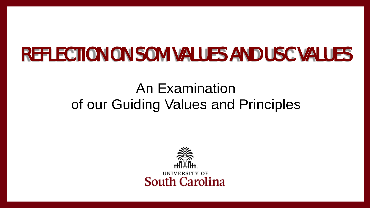## REFLECTION ON SOM VALUES AND USC VALUES

### An Examination of our Guiding Values and Principles

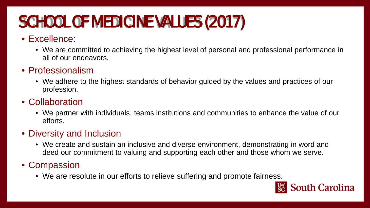## SCHOOL OF MEDICINE VALUES (2017)

#### • Excellence:

• We are committed to achieving the highest level of personal and professional performance in all of our endeavors.

#### • Professionalism

• We adhere to the highest standards of behavior guided by the values and practices of our profession.

#### • Collaboration

• We partner with individuals, teams institutions and communities to enhance the value of our efforts.

#### • Diversity and Inclusion

• We create and sustain an inclusive and diverse environment, demonstrating in word and deed our commitment to valuing and supporting each other and those whom we serve.

#### • Compassion

• We are resolute in our efforts to relieve suffering and promote fairness.

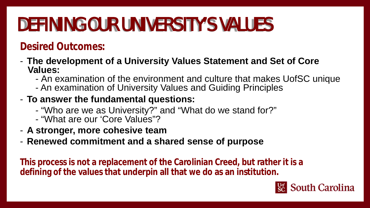## DEFINING OUR UNIVERSITY'S VALUES

#### **Desired Outcomes:**

- **The development of a University Values Statement and Set of Core Values:**
	- *-* An examination of the environment and culture that makes UofSC unique An examination of University Values and Guiding Principles
	-
- **To answer the fundamental questions:**
	- *-* "Who are we as University?" and "What do we stand for?"
	- "What are our 'Core Values"?
- **A stronger, more cohesive team**
- **Renewed commitment and a shared sense of purpose**

**This process is not a replacement of the Carolinian Creed, but rather it is a defining of the values that underpin all that we do as an institution.**

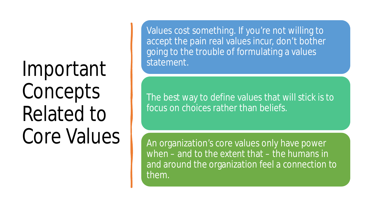Important Concepts Related to Core Values

Values cost something. If you're not willing to accept the pain real values incur, don't bother going to the trouble of formulating a values statement.

The best way to define values that will stick is to focus on choices rather than beliefs.

An organization's core values only have power when – and to the extent that – the humans in and around the organization feel a connection to them.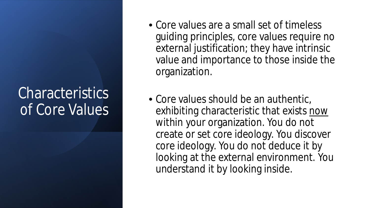### **Characteristics** of Core Values

- Core values are a small set of timeless guiding principles, core values require no external justification; they have intrinsic value and importance to those inside the organization.
- Core values should be an authentic, exhibiting characteristic that exists now within your organization. You do not create or set core ideology. You discover core ideology. You do not deduce it by looking at the external environment. You understand it by looking inside.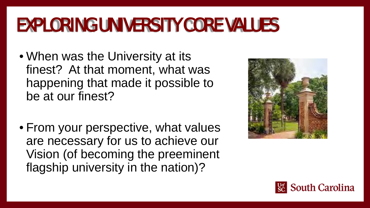## EXPLORING UNIVERSITY CORE VALUES

- When was the University at its finest? At that moment, what was happening that made it possible to be at our finest?
- From your perspective, what values are necessary for us to achieve our Vision (of becoming the preeminent flagship university in the nation)?



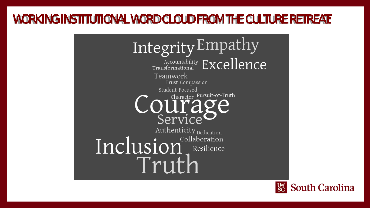#### WORKING INSTITUTIONAL WORD CLOUD FROM THE CULTURE RETREAT:



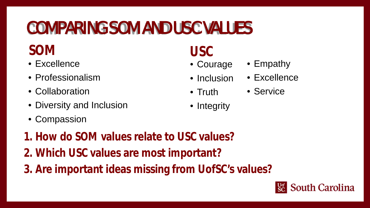## COMPARING SOM AND USC VALUES

### **SOM**

- Excellence
- Professionalism
- Collaboration
- Diversity and Inclusion
- Compassion

### **1. How do SOM values relate to USC values?**

- **2. Which USC values are most important?**
- **3. Are important ideas missing from UofSC's values?**

### **USC**

- Courage
- Inclusion
- Truth
- Service

• Empathy

• Excellence

• Integrity